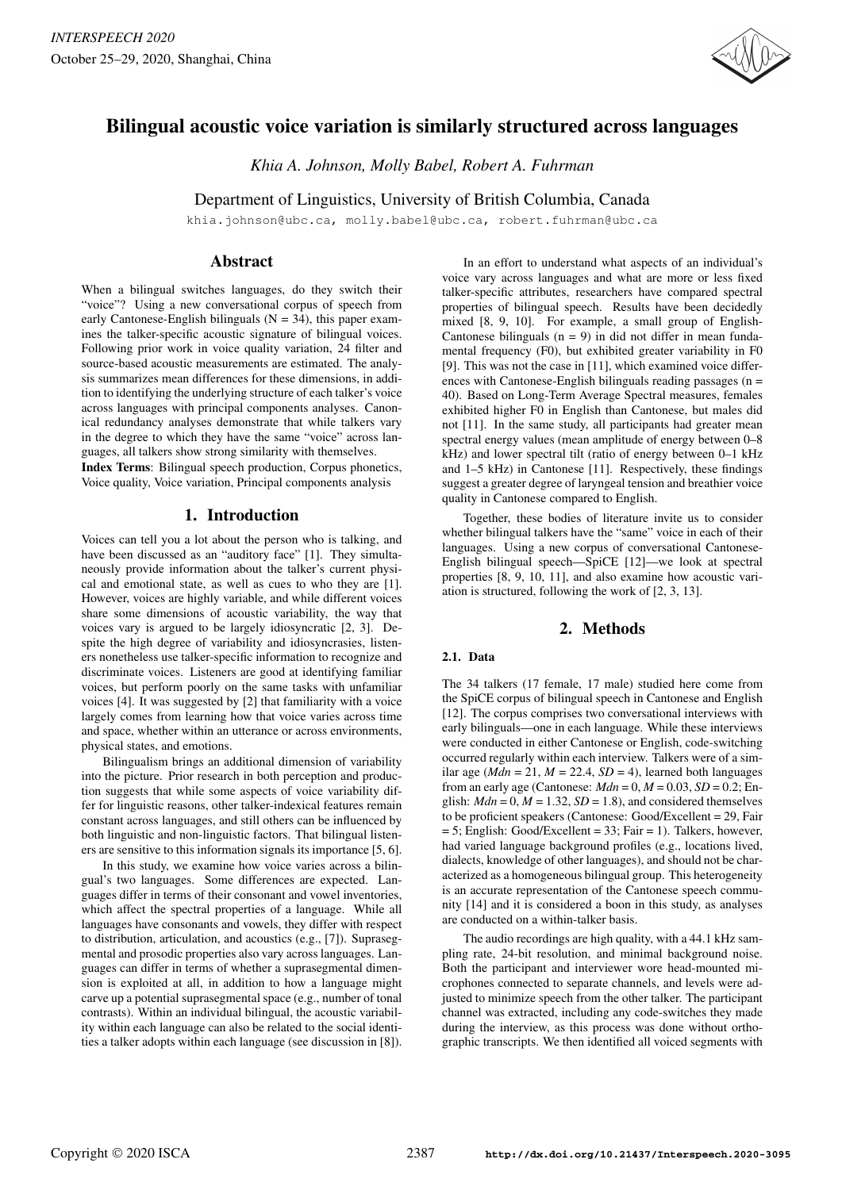

# Bilingual acoustic voice variation is similarly structured across languages

*Khia A. Johnson, Molly Babel, Robert A. Fuhrman*

Department of Linguistics, University of British Columbia, Canada

khia.johnson@ubc.ca, molly.babel@ubc.ca, robert.fuhrman@ubc.ca

# Abstract

When a bilingual switches languages, do they switch their "voice"? Using a new conversational corpus of speech from early Cantonese-English bilinguals ( $N = 34$ ), this paper examines the talker-specific acoustic signature of bilingual voices. Following prior work in voice quality variation, 24 filter and source-based acoustic measurements are estimated. The analysis summarizes mean differences for these dimensions, in addition to identifying the underlying structure of each talker's voice across languages with principal components analyses. Canonical redundancy analyses demonstrate that while talkers vary in the degree to which they have the same "voice" across languages, all talkers show strong similarity with themselves.

Index Terms: Bilingual speech production, Corpus phonetics, Voice quality, Voice variation, Principal components analysis

# 1. Introduction

Voices can tell you a lot about the person who is talking, and have been discussed as an "auditory face" [1]. They simultaneously provide information about the talker's current physical and emotional state, as well as cues to who they are [1]. However, voices are highly variable, and while different voices share some dimensions of acoustic variability, the way that voices vary is argued to be largely idiosyncratic [2, 3]. Despite the high degree of variability and idiosyncrasies, listeners nonetheless use talker-specific information to recognize and discriminate voices. Listeners are good at identifying familiar voices, but perform poorly on the same tasks with unfamiliar voices [4]. It was suggested by [2] that familiarity with a voice largely comes from learning how that voice varies across time and space, whether within an utterance or across environments, physical states, and emotions.

Bilingualism brings an additional dimension of variability into the picture. Prior research in both perception and production suggests that while some aspects of voice variability differ for linguistic reasons, other talker-indexical features remain constant across languages, and still others can be influenced by both linguistic and non-linguistic factors. That bilingual listeners are sensitive to this information signals its importance [5, 6].

In this study, we examine how voice varies across a bilingual's two languages. Some differences are expected. Languages differ in terms of their consonant and vowel inventories, which affect the spectral properties of a language. While all languages have consonants and vowels, they differ with respect to distribution, articulation, and acoustics (e.g., [7]). Suprasegmental and prosodic properties also vary across languages. Languages can differ in terms of whether a suprasegmental dimension is exploited at all, in addition to how a language might carve up a potential suprasegmental space (e.g., number of tonal contrasts). Within an individual bilingual, the acoustic variability within each language can also be related to the social identities a talker adopts within each language (see discussion in [8]).

In an effort to understand what aspects of an individual's voice vary across languages and what are more or less fixed talker-specific attributes, researchers have compared spectral properties of bilingual speech. Results have been decidedly mixed [8, 9, 10]. For example, a small group of English-Cantonese bilinguals  $(n = 9)$  in did not differ in mean fundamental frequency (F0), but exhibited greater variability in F0 [9]. This was not the case in [11], which examined voice differences with Cantonese-English bilinguals reading passages  $(n =$ 40). Based on Long-Term Average Spectral measures, females exhibited higher F0 in English than Cantonese, but males did not [11]. In the same study, all participants had greater mean spectral energy values (mean amplitude of energy between 0–8 kHz) and lower spectral tilt (ratio of energy between 0–1 kHz and 1–5 kHz) in Cantonese [11]. Respectively, these findings suggest a greater degree of laryngeal tension and breathier voice quality in Cantonese compared to English.

Together, these bodies of literature invite us to consider whether bilingual talkers have the "same" voice in each of their languages. Using a new corpus of conversational Cantonese-English bilingual speech—SpiCE [12]—we look at spectral properties [8, 9, 10, 11], and also examine how acoustic variation is structured, following the work of [2, 3, 13].

# 2. Methods

## 2.1. Data

The 34 talkers (17 female, 17 male) studied here come from the SpiCE corpus of bilingual speech in Cantonese and English [12]. The corpus comprises two conversational interviews with early bilinguals—one in each language. While these interviews were conducted in either Cantonese or English, code-switching occurred regularly within each interview. Talkers were of a similar age ( $Mdn = 21$ ,  $M = 22.4$ ,  $SD = 4$ ), learned both languages from an early age (Cantonese:  $Mdn = 0$ ,  $M = 0.03$ ,  $SD = 0.2$ ; English:  $Mdn = 0$ ,  $M = 1.32$ ,  $SD = 1.8$ ), and considered themselves to be proficient speakers (Cantonese: Good/Excellent = 29, Fair  $= 5$ ; English: Good/Excellent  $= 33$ ; Fair  $= 1$ ). Talkers, however, had varied language background profiles (e.g., locations lived, dialects, knowledge of other languages), and should not be characterized as a homogeneous bilingual group. This heterogeneity is an accurate representation of the Cantonese speech community [14] and it is considered a boon in this study, as analyses are conducted on a within-talker basis.

The audio recordings are high quality, with a 44.1 kHz sampling rate, 24-bit resolution, and minimal background noise. Both the participant and interviewer wore head-mounted microphones connected to separate channels, and levels were adjusted to minimize speech from the other talker. The participant channel was extracted, including any code-switches they made during the interview, as this process was done without orthographic transcripts. We then identified all voiced segments with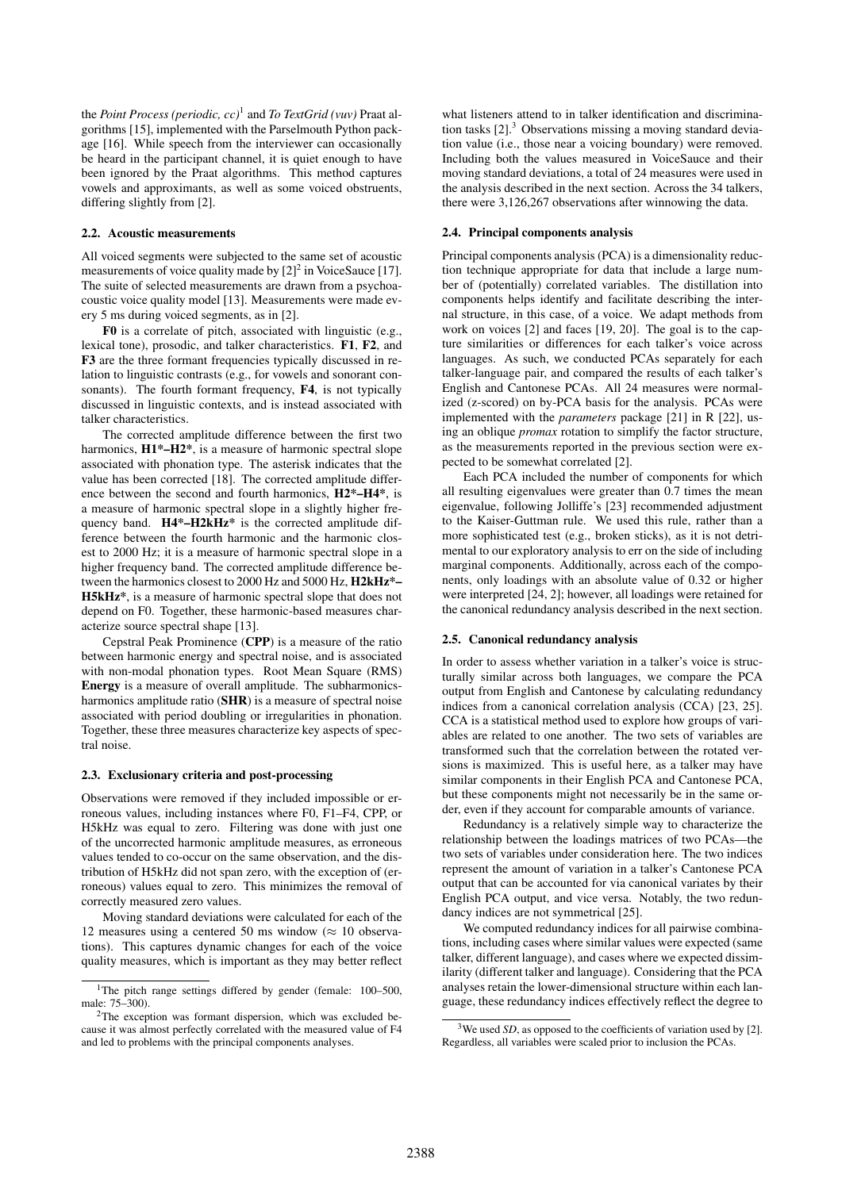the *Point Process (periodic, cc)*<sup>1</sup> and *To TextGrid (vuv)* Praat algorithms [15], implemented with the Parselmouth Python package [16]. While speech from the interviewer can occasionally be heard in the participant channel, it is quiet enough to have been ignored by the Praat algorithms. This method captures vowels and approximants, as well as some voiced obstruents, differing slightly from [2].

#### 2.2. Acoustic measurements

All voiced segments were subjected to the same set of acoustic measurements of voice quality made by  $[2]^2$  in VoiceSauce [17]. The suite of selected measurements are drawn from a psychoacoustic voice quality model [13]. Measurements were made every 5 ms during voiced segments, as in [2].

F0 is a correlate of pitch, associated with linguistic (e.g., lexical tone), prosodic, and talker characteristics. F1, F2, and F3 are the three formant frequencies typically discussed in relation to linguistic contrasts (e.g., for vowels and sonorant consonants). The fourth formant frequency, F4, is not typically discussed in linguistic contexts, and is instead associated with talker characteristics.

The corrected amplitude difference between the first two harmonics,  $H1^*$ – $H2^*$ , is a measure of harmonic spectral slope associated with phonation type. The asterisk indicates that the value has been corrected [18]. The corrected amplitude difference between the second and fourth harmonics, H2\*–H4\*, is a measure of harmonic spectral slope in a slightly higher frequency band.  $H4*-H2kHz^*$  is the corrected amplitude difference between the fourth harmonic and the harmonic closest to 2000 Hz; it is a measure of harmonic spectral slope in a higher frequency band. The corrected amplitude difference between the harmonics closest to 2000 Hz and 5000 Hz, H2kHz\*– H5kHz\*, is a measure of harmonic spectral slope that does not depend on F0. Together, these harmonic-based measures characterize source spectral shape [13].

Cepstral Peak Prominence (CPP) is a measure of the ratio between harmonic energy and spectral noise, and is associated with non-modal phonation types. Root Mean Square (RMS) Energy is a measure of overall amplitude. The subharmonicsharmonics amplitude ratio (SHR) is a measure of spectral noise associated with period doubling or irregularities in phonation. Together, these three measures characterize key aspects of spectral noise.

#### 2.3. Exclusionary criteria and post-processing

Observations were removed if they included impossible or erroneous values, including instances where F0, F1–F4, CPP, or H5kHz was equal to zero. Filtering was done with just one of the uncorrected harmonic amplitude measures, as erroneous values tended to co-occur on the same observation, and the distribution of H5kHz did not span zero, with the exception of (erroneous) values equal to zero. This minimizes the removal of correctly measured zero values.

Moving standard deviations were calculated for each of the 12 measures using a centered 50 ms window ( $\approx$  10 observations). This captures dynamic changes for each of the voice quality measures, which is important as they may better reflect

what listeners attend to in talker identification and discrimination tasks  $[2]$ <sup>3</sup> Observations missing a moving standard deviation value (i.e., those near a voicing boundary) were removed. Including both the values measured in VoiceSauce and their moving standard deviations, a total of 24 measures were used in the analysis described in the next section. Across the 34 talkers, there were 3,126,267 observations after winnowing the data.

#### 2.4. Principal components analysis

Principal components analysis (PCA) is a dimensionality reduction technique appropriate for data that include a large number of (potentially) correlated variables. The distillation into components helps identify and facilitate describing the internal structure, in this case, of a voice. We adapt methods from work on voices [2] and faces [19, 20]. The goal is to the capture similarities or differences for each talker's voice across languages. As such, we conducted PCAs separately for each talker-language pair, and compared the results of each talker's English and Cantonese PCAs. All 24 measures were normalized (z-scored) on by-PCA basis for the analysis. PCAs were implemented with the *parameters* package [21] in R [22], using an oblique *promax* rotation to simplify the factor structure, as the measurements reported in the previous section were expected to be somewhat correlated [2].

Each PCA included the number of components for which all resulting eigenvalues were greater than 0.7 times the mean eigenvalue, following Jolliffe's [23] recommended adjustment to the Kaiser-Guttman rule. We used this rule, rather than a more sophisticated test (e.g., broken sticks), as it is not detrimental to our exploratory analysis to err on the side of including marginal components. Additionally, across each of the components, only loadings with an absolute value of 0.32 or higher were interpreted [24, 2]; however, all loadings were retained for the canonical redundancy analysis described in the next section.

#### 2.5. Canonical redundancy analysis

In order to assess whether variation in a talker's voice is structurally similar across both languages, we compare the PCA output from English and Cantonese by calculating redundancy indices from a canonical correlation analysis (CCA) [23, 25]. CCA is a statistical method used to explore how groups of variables are related to one another. The two sets of variables are transformed such that the correlation between the rotated versions is maximized. This is useful here, as a talker may have similar components in their English PCA and Cantonese PCA, but these components might not necessarily be in the same order, even if they account for comparable amounts of variance.

Redundancy is a relatively simple way to characterize the relationship between the loadings matrices of two PCAs—the two sets of variables under consideration here. The two indices represent the amount of variation in a talker's Cantonese PCA output that can be accounted for via canonical variates by their English PCA output, and vice versa. Notably, the two redundancy indices are not symmetrical [25].

We computed redundancy indices for all pairwise combinations, including cases where similar values were expected (same talker, different language), and cases where we expected dissimilarity (different talker and language). Considering that the PCA analyses retain the lower-dimensional structure within each language, these redundancy indices effectively reflect the degree to

<sup>&</sup>lt;sup>1</sup>The pitch range settings differed by gender (female: 100-500, male: 75–300).

<sup>&</sup>lt;sup>2</sup>The exception was formant dispersion, which was excluded because it was almost perfectly correlated with the measured value of F4 and led to problems with the principal components analyses.

<sup>&</sup>lt;sup>3</sup>We used *SD*, as opposed to the coefficients of variation used by [2]. Regardless, all variables were scaled prior to inclusion the PCAs.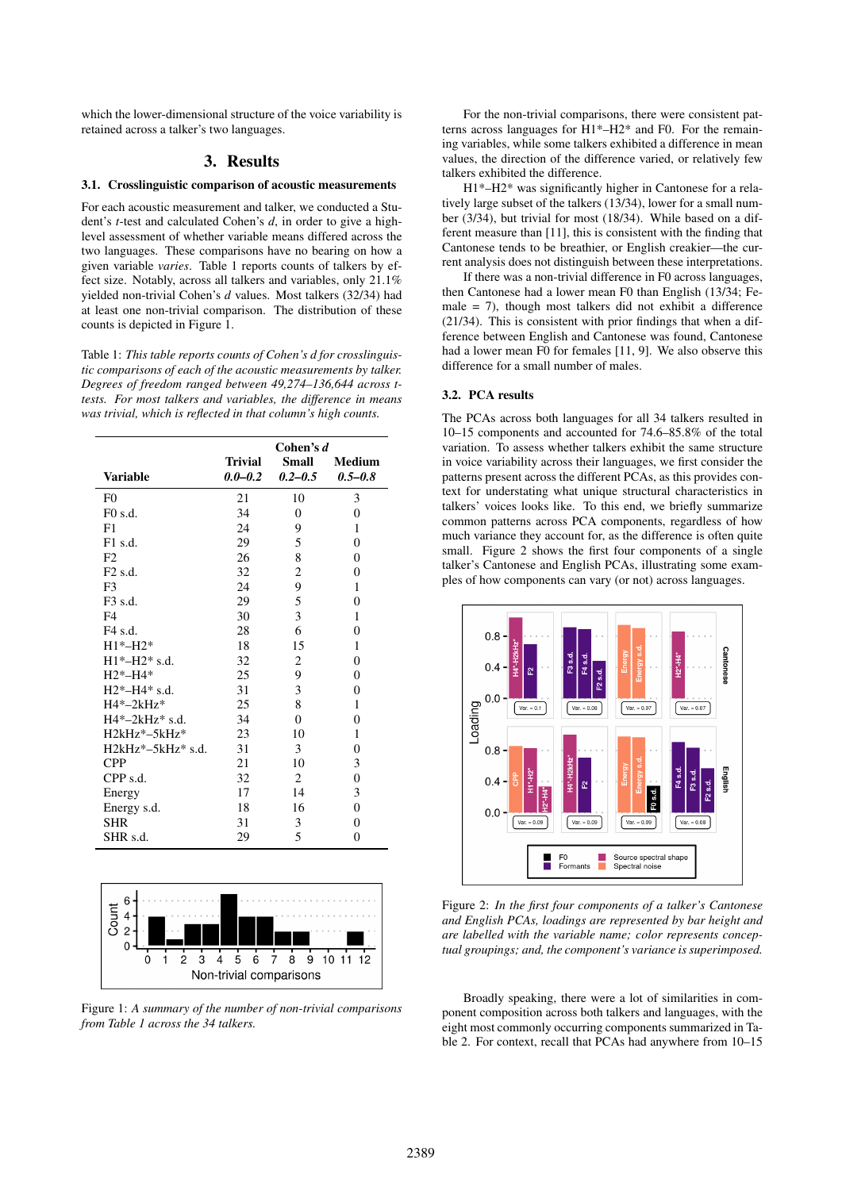which the lower-dimensional structure of the voice variability is retained across a talker's two languages.

# 3. Results

#### 3.1. Crosslinguistic comparison of acoustic measurements

For each acoustic measurement and talker, we conducted a Student's *t*-test and calculated Cohen's *d*, in order to give a highlevel assessment of whether variable means differed across the two languages. These comparisons have no bearing on how a given variable *varies*. Table 1 reports counts of talkers by effect size. Notably, across all talkers and variables, only 21.1% yielded non-trivial Cohen's *d* values. Most talkers (32/34) had at least one non-trivial comparison. The distribution of these counts is depicted in Figure 1.

Table 1: *This table reports counts of Cohen's d for crosslinguistic comparisons of each of the acoustic measurements by talker. Degrees of freedom ranged between 49,274–136,644 across ttests. For most talkers and variables, the difference in means was trivial, which is reflected in that column's high counts.*

|                         | Cohen's d   |                         |                |
|-------------------------|-------------|-------------------------|----------------|
|                         | Trivial     | Small                   | <b>Medium</b>  |
| <b>Variable</b>         | $0.0 - 0.2$ | $0.2 - 0.5$             | $0.5 - 0.8$    |
| F <sub>0</sub>          | 21          | 10                      | 3              |
| $F0$ s.d.               | 34          | $\overline{0}$          | $\overline{0}$ |
| F1                      | 24          | 9                       | 1              |
| $F1$ s.d.               | 29          | 5                       | $\theta$       |
| F <sub>2</sub>          | 26          | 8                       | $\overline{0}$ |
| F <sub>2</sub> s.d.     | 32          | $\overline{\mathbf{c}}$ | $\overline{0}$ |
| F <sub>3</sub>          | 24          | 9                       | 1              |
| $F3$ s.d.               | 29          | 5                       | $\overline{0}$ |
| F <sub>4</sub>          | 30          | 3                       | 1              |
| F4 s.d.                 | 28          | 6                       | $\overline{0}$ |
| $H1*-H2*$               | 18          | 15                      | 1              |
| $H1*-H2*$ s.d.          | 32          | 2                       | $\overline{0}$ |
| $H2*-H4*$               | 25          | 9                       | $\overline{0}$ |
| $H2*-H4*$ s.d.          | 31          | 3                       | $\overline{0}$ |
| $H4*-2kHz*$             | 25          | 8                       | 1              |
| $H4*-2kHz*$ s.d.        | 34          | $\theta$                | $\overline{0}$ |
| $H2kHz^*-5kHz^*$        | 23          | 10                      | 1              |
| $H2kHz^* - 5kHz^*$ s.d. | 31          | 3                       | $\overline{0}$ |
| <b>CPP</b>              | 21          | 10                      | 3              |
| $CPP$ s.d.              | 32          | 2                       | $\overline{0}$ |
| Energy                  | 17          | 14                      | 3              |
| Energy s.d.             | $18\,$      | 16                      | $\overline{0}$ |
| <b>SHR</b>              | 31          | 3                       | 0              |
| SHR s.d.                | 29          | 5                       | $\overline{0}$ |



Figure 1: *A summary of the number of non-trivial comparisons from Table 1 across the 34 talkers.*

For the non-trivial comparisons, there were consistent patterns across languages for H1\*–H2\* and F0. For the remaining variables, while some talkers exhibited a difference in mean values, the direction of the difference varied, or relatively few talkers exhibited the difference.

H1\*–H2\* was significantly higher in Cantonese for a relatively large subset of the talkers (13/34), lower for a small number (3/34), but trivial for most (18/34). While based on a different measure than [11], this is consistent with the finding that Cantonese tends to be breathier, or English creakier—the current analysis does not distinguish between these interpretations.

If there was a non-trivial difference in F0 across languages, then Cantonese had a lower mean F0 than English (13/34; Female  $= 7$ ), though most talkers did not exhibit a difference (21/34). This is consistent with prior findings that when a difference between English and Cantonese was found, Cantonese had a lower mean F0 for females [11, 9]. We also observe this difference for a small number of males.

## 3.2. PCA results

The PCAs across both languages for all 34 talkers resulted in 10–15 components and accounted for 74.6–85.8% of the total variation. To assess whether talkers exhibit the same structure in voice variability across their languages, we first consider the patterns present across the different PCAs, as this provides context for understating what unique structural characteristics in talkers' voices looks like. To this end, we briefly summarize common patterns across PCA components, regardless of how much variance they account for, as the difference is often quite small. Figure 2 shows the first four components of a single talker's Cantonese and English PCAs, illustrating some examples of how components can vary (or not) across languages.



Figure 2: *In the first four components of a talker's Cantonese and English PCAs, loadings are represented by bar height and are labelled with the variable name; color represents conceptual groupings; and, the component's variance is superimposed.*

Broadly speaking, there were a lot of similarities in component composition across both talkers and languages, with the eight most commonly occurring components summarized in Table 2. For context, recall that PCAs had anywhere from 10–15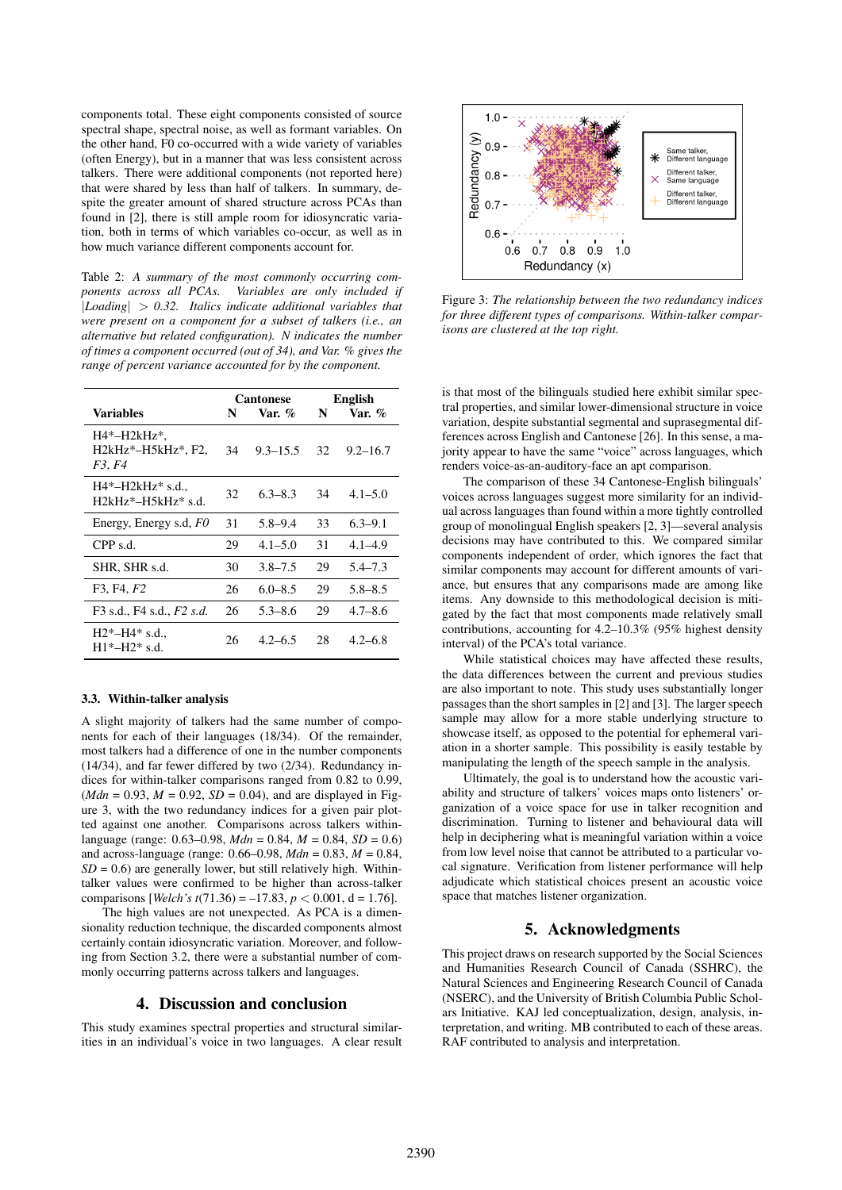components total. These eight components consisted of source spectral shape, spectral noise, as well as formant variables. On the other hand, F0 co-occurred with a wide variety of variables (often Energy), but in a manner that was less consistent across talkers. There were additional components (not reported here) that were shared by less than half of talkers. In summary, despite the greater amount of shared structure across PCAs than found in [2], there is still ample room for idiosyncratic variation, both in terms of which variables co-occur, as well as in how much variance different components account for.

Table 2: *A summary of the most commonly occurring components across all PCAs. Variables are only included if* |*Loading*| > *0.32. Italics indicate additional variables that were present on a component for a subset of talkers (i.e., an alternative but related configuration). N indicates the number of times a component occurred (out of 34), and Var. % gives the range of percent variance accounted for by the component.*

|                                                              | <b>Cantonese</b> |              | <b>English</b> |              |
|--------------------------------------------------------------|------------------|--------------|----------------|--------------|
| Variables                                                    | N                | Var. $\%$    | N              | Var. $\%$    |
| H4*-H2kHz*,<br>$H2kHz^*$ -H5kHz <sup>*</sup> , F2,<br>F3, F4 | 34               | $9.3 - 15.5$ | 32             | $9.2 - 16.7$ |
| $H4*-H2kHz* s.d.,$<br>$H2kHz^* - H5kHz^*$ s.d.               | 32               | $6.3 - 8.3$  | 34             | $4.1 - 5.0$  |
| Energy, Energy s.d, FO                                       | 31               | $5.8 - 9.4$  | 33             | $6.3 - 9.1$  |
| CPP s.d.                                                     | 29               | $4.1 - 5.0$  | 31             | $4.1 - 4.9$  |
| SHR, SHR s.d.                                                | 30               | $3.8 - 7.5$  | 29             | $5.4 - 7.3$  |
| F3, F4, F2                                                   | 26               | $6.0 - 8.5$  | 29             | $5.8 - 8.5$  |
| F3 s.d., F4 s.d., F2 s.d.                                    | 26               | $5.3 - 8.6$  | 29             | $4.7 - 8.6$  |
| $H2*-H4*$ s.d.,<br>$H1*-H2*$ s.d.                            | 26               | $4.2 - 6.5$  | 28             | $4.2 - 6.8$  |

#### 3.3. Within-talker analysis

A slight majority of talkers had the same number of components for each of their languages (18/34). Of the remainder, most talkers had a difference of one in the number components (14/34), and far fewer differed by two (2/34). Redundancy indices for within-talker comparisons ranged from 0.82 to 0.99,  $(Mdn = 0.93, M = 0.92, SD = 0.04)$ , and are displayed in Figure 3, with the two redundancy indices for a given pair plotted against one another. Comparisons across talkers withinlanguage (range: 0.63–0.98, *Mdn* = 0.84, *M* = 0.84, *SD* = 0.6) and across-language (range: 0.66–0.98, *Mdn* = 0.83, *M* = 0.84,  $SD = 0.6$ ) are generally lower, but still relatively high. Withintalker values were confirmed to be higher than across-talker comparisons [*Welch's t*(71.36) = -17.83,  $p < 0.001$ , d = 1.76].

The high values are not unexpected. As PCA is a dimensionality reduction technique, the discarded components almost certainly contain idiosyncratic variation. Moreover, and following from Section 3.2, there were a substantial number of commonly occurring patterns across talkers and languages.

#### 4. Discussion and conclusion

This study examines spectral properties and structural similarities in an individual's voice in two languages. A clear result



Figure 3: *The relationship between the two redundancy indices for three different types of comparisons. Within-talker comparisons are clustered at the top right.*

is that most of the bilinguals studied here exhibit similar spectral properties, and similar lower-dimensional structure in voice variation, despite substantial segmental and suprasegmental differences across English and Cantonese [26]. In this sense, a majority appear to have the same "voice" across languages, which renders voice-as-an-auditory-face an apt comparison.

The comparison of these 34 Cantonese-English bilinguals' voices across languages suggest more similarity for an individual across languages than found within a more tightly controlled group of monolingual English speakers [2, 3]—several analysis decisions may have contributed to this. We compared similar components independent of order, which ignores the fact that similar components may account for different amounts of variance, but ensures that any comparisons made are among like items. Any downside to this methodological decision is mitigated by the fact that most components made relatively small contributions, accounting for 4.2–10.3% (95% highest density interval) of the PCA's total variance.

While statistical choices may have affected these results, the data differences between the current and previous studies are also important to note. This study uses substantially longer passages than the short samples in [2] and [3]. The larger speech sample may allow for a more stable underlying structure to showcase itself, as opposed to the potential for ephemeral variation in a shorter sample. This possibility is easily testable by manipulating the length of the speech sample in the analysis.

Ultimately, the goal is to understand how the acoustic variability and structure of talkers' voices maps onto listeners' organization of a voice space for use in talker recognition and discrimination. Turning to listener and behavioural data will help in deciphering what is meaningful variation within a voice from low level noise that cannot be attributed to a particular vocal signature. Verification from listener performance will help adjudicate which statistical choices present an acoustic voice space that matches listener organization.

# 5. Acknowledgments

This project draws on research supported by the Social Sciences and Humanities Research Council of Canada (SSHRC), the Natural Sciences and Engineering Research Council of Canada (NSERC), and the University of British Columbia Public Scholars Initiative. KAJ led conceptualization, design, analysis, interpretation, and writing. MB contributed to each of these areas. RAF contributed to analysis and interpretation.